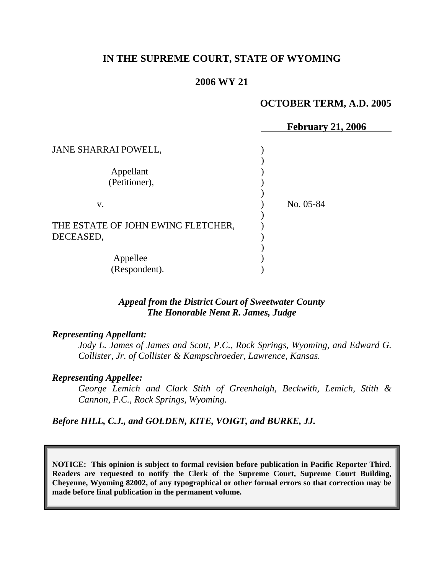# **IN THE SUPREME COURT, STATE OF WYOMING**

## **2006 WY 21**

#### **OCTOBER TERM, A.D. 2005**

|                                    | <b>February 21, 2006</b> |
|------------------------------------|--------------------------|
| JANE SHARRAI POWELL,               |                          |
|                                    |                          |
| Appellant                          |                          |
| (Petitioner),                      |                          |
|                                    |                          |
| V.                                 | No. 05-84                |
|                                    |                          |
| THE ESTATE OF JOHN EWING FLETCHER, |                          |
| DECEASED,                          |                          |
|                                    |                          |
| Appellee                           |                          |
| (Respondent).                      |                          |

## *Appeal from the District Court of Sweetwater County The Honorable Nena R. James, Judge*

#### *Representing Appellant:*

Jody L. James of James and Scott, P.C., Rock Springs, Wyoming, and Edward G. *Collister, Jr. of Collister & Kampschroeder, Lawrence, Kansas.* 

#### *Representing Appellee:*

*George Lemich and Clark Stith of Greenhalgh, Beckwith, Lemich, Stith & Cannon, P.C., Rock Springs, Wyoming.* 

*Before HILL, C.J., and GOLDEN, KITE, VOIGT, and BURKE, JJ.* 

**NOTICE: This opinion is subject to formal revision before publication in Pacific Reporter Third. Readers are requested to notify the Clerk of the Supreme Court, Supreme Court Building, Cheyenne, Wyoming 82002, of any typographical or other formal errors so that correction may be made before final publication in the permanent volume.**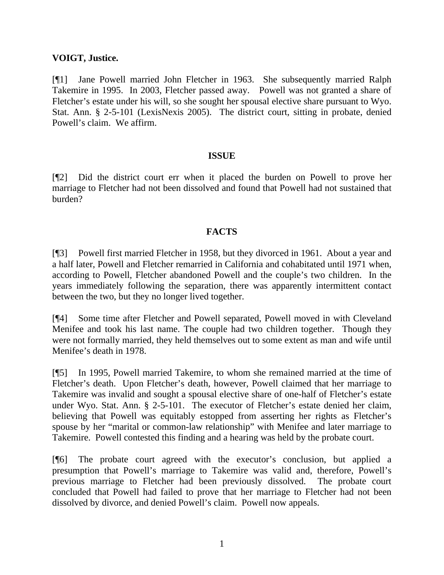## **VOIGT, Justice.**

[¶1] Jane Powell married John Fletcher in 1963. She subsequently married Ralph Takemire in 1995. In 2003, Fletcher passed away. Powell was not granted a share of Fletcher's estate under his will, so she sought her spousal elective share pursuant to Wyo. Stat. Ann. § 2-5-101 (LexisNexis 2005). The district court, sitting in probate, denied Powell's claim. We affirm.

# **ISSUE**

[¶2] Did the district court err when it placed the burden on Powell to prove her marriage to Fletcher had not been dissolved and found that Powell had not sustained that burden?

# **FACTS**

[¶3] Powell first married Fletcher in 1958, but they divorced in 1961. About a year and a half later, Powell and Fletcher remarried in California and cohabitated until 1971 when, according to Powell, Fletcher abandoned Powell and the couple's two children. In the years immediately following the separation, there was apparently intermittent contact between the two, but they no longer lived together.

[¶4] Some time after Fletcher and Powell separated, Powell moved in with Cleveland Menifee and took his last name. The couple had two children together. Though they were not formally married, they held themselves out to some extent as man and wife until Menifee's death in 1978.

[¶5] In 1995, Powell married Takemire, to whom she remained married at the time of Fletcher's death. Upon Fletcher's death, however, Powell claimed that her marriage to Takemire was invalid and sought a spousal elective share of one-half of Fletcher's estate under Wyo. Stat. Ann. § 2-5-101. The executor of Fletcher's estate denied her claim, believing that Powell was equitably estopped from asserting her rights as Fletcher's spouse by her "marital or common-law relationship" with Menifee and later marriage to Takemire. Powell contested this finding and a hearing was held by the probate court.

[¶6] The probate court agreed with the executor's conclusion, but applied a presumption that Powell's marriage to Takemire was valid and, therefore, Powell's previous marriage to Fletcher had been previously dissolved. The probate court concluded that Powell had failed to prove that her marriage to Fletcher had not been dissolved by divorce, and denied Powell's claim. Powell now appeals.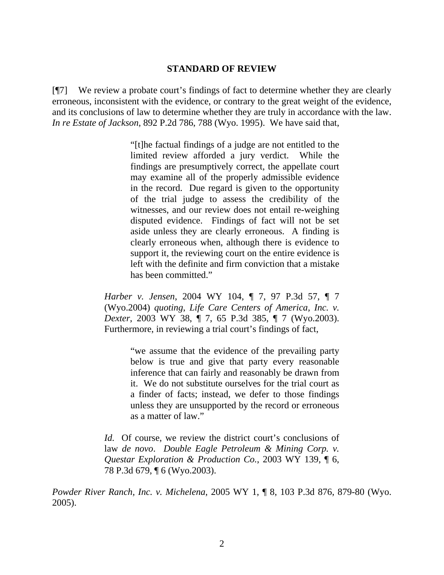## **STANDARD OF REVIEW**

[¶7] We review a probate court's findings of fact to determine whether they are clearly erroneous, inconsistent with the evidence, or contrary to the great weight of the evidence, and its conclusions of law to determine whether they are truly in accordance with the law. *In re Estate of Jackson*, 892 P.2d 786, 788 (Wyo. 1995). We have said that,

> "[t]he factual findings of a judge are not entitled to the limited review afforded a jury verdict. While the findings are presumptively correct, the appellate court may examine all of the properly admissible evidence in the record. Due regard is given to the opportunity of the trial judge to assess the credibility of the witnesses, and our review does not entail re-weighing disputed evidence. Findings of fact will not be set aside unless they are clearly erroneous. A finding is clearly erroneous when, although there is evidence to support it, the reviewing court on the entire evidence is left with the definite and firm conviction that a mistake has been committed."

*Harber v. Jensen*, 2004 WY 104, ¶ 7, 97 P.3d 57, ¶ 7 (Wyo.2004) *quoting*, *Life Care Centers of America, Inc. v. Dexter*, 2003 WY 38, ¶ 7, 65 P.3d 385, ¶ 7 (Wyo.2003). Furthermore, in reviewing a trial court's findings of fact,

> "we assume that the evidence of the prevailing party below is true and give that party every reasonable inference that can fairly and reasonably be drawn from it. We do not substitute ourselves for the trial court as a finder of facts; instead, we defer to those findings unless they are unsupported by the record or erroneous as a matter of law."

*Id.* Of course, we review the district court's conclusions of law *de novo*. *Double Eagle Petroleum & Mining Corp. v. Questar Exploration & Production Co.*, 2003 WY 139, ¶ 6, 78 P.3d 679, ¶ 6 (Wyo.2003).

*Powder River Ranch, Inc. v. Michelena*, 2005 WY 1, ¶ 8, 103 P.3d 876, 879-80 (Wyo. 2005).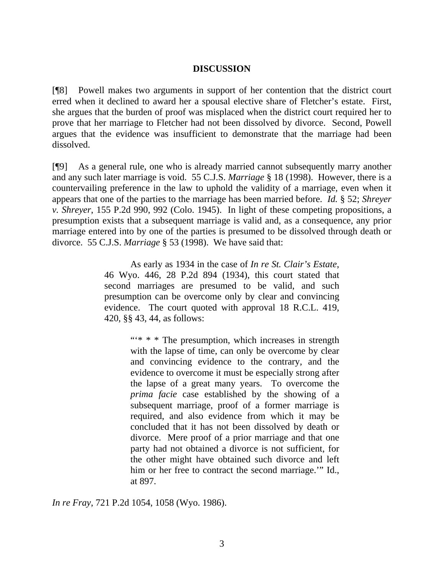#### **DISCUSSION**

[¶8] Powell makes two arguments in support of her contention that the district court erred when it declined to award her a spousal elective share of Fletcher's estate. First, she argues that the burden of proof was misplaced when the district court required her to prove that her marriage to Fletcher had not been dissolved by divorce. Second, Powell argues that the evidence was insufficient to demonstrate that the marriage had been dissolved.

[¶9] As a general rule, one who is already married cannot subsequently marry another and any such later marriage is void. 55 C.J.S. *Marriage* § 18 (1998). However, there is a countervailing preference in the law to uphold the validity of a marriage, even when it appears that one of the parties to the marriage has been married before. *Id.* § 52; *Shreyer v. Shreyer*, 155 P.2d 990, 992 (Colo. 1945). In light of these competing propositions, a presumption exists that a subsequent marriage is valid and, as a consequence, any prior marriage entered into by one of the parties is presumed to be dissolved through death or divorce. 55 C.J.S. *Marriage* § 53 (1998). We have said that:

> As early as 1934 in the case of *In re St. Clair's Estate*, 46 Wyo. 446, 28 P.2d 894 (1934), this court stated that second marriages are presumed to be valid, and such presumption can be overcome only by clear and convincing evidence. The court quoted with approval 18 R.C.L. 419, 420, §§ 43, 44, as follows:

> > ""\* \* \* The presumption, which increases in strength with the lapse of time, can only be overcome by clear and convincing evidence to the contrary, and the evidence to overcome it must be especially strong after the lapse of a great many years. To overcome the *prima facie* case established by the showing of a subsequent marriage, proof of a former marriage is required, and also evidence from which it may be concluded that it has not been dissolved by death or divorce. Mere proof of a prior marriage and that one party had not obtained a divorce is not sufficient, for the other might have obtained such divorce and left him or her free to contract the second marriage.'" Id., at 897.

*In re Fray*, 721 P.2d 1054, 1058 (Wyo. 1986).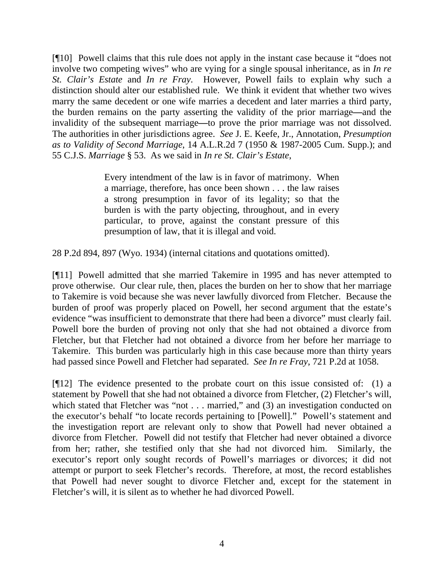[¶10] Powell claims that this rule does not apply in the instant case because it "does not involve two competing wives" who are vying for a single spousal inheritance, as in *In re St. Clair's Estate* and *In re Fray*. However, Powell fails to explain why such a distinction should alter our established rule. We think it evident that whether two wives marry the same decedent or one wife marries a decedent and later marries a third party, the burden remains on the party asserting the validity of the prior marriage**—**and the invalidity of the subsequent marriage**—**to prove the prior marriage was not dissolved. The authorities in other jurisdictions agree. *See* J. E. Keefe, Jr., Annotation, *Presumption as to Validity of Second Marriage*, 14 A.L.R.2d 7 (1950 & 1987-2005 Cum. Supp.); and 55 C.J.S. *Marriage* § 53. As we said in *In re St. Clair's Estate*,

> Every intendment of the law is in favor of matrimony. When a marriage, therefore, has once been shown . . . the law raises a strong presumption in favor of its legality; so that the burden is with the party objecting, throughout, and in every particular, to prove, against the constant pressure of this presumption of law, that it is illegal and void.

28 P.2d 894, 897 (Wyo. 1934) (internal citations and quotations omitted).

[¶11] Powell admitted that she married Takemire in 1995 and has never attempted to prove otherwise. Our clear rule, then, places the burden on her to show that her marriage to Takemire is void because she was never lawfully divorced from Fletcher. Because the burden of proof was properly placed on Powell, her second argument that the estate's evidence "was insufficient to demonstrate that there had been a divorce" must clearly fail. Powell bore the burden of proving not only that she had not obtained a divorce from Fletcher, but that Fletcher had not obtained a divorce from her before her marriage to Takemire. This burden was particularly high in this case because more than thirty years had passed since Powell and Fletcher had separated. *See In re Fray*, 721 P.2d at 1058.

[¶12] The evidence presented to the probate court on this issue consisted of: (1) a statement by Powell that she had not obtained a divorce from Fletcher, (2) Fletcher's will, which stated that Fletcher was "not . . . married," and (3) an investigation conducted on the executor's behalf "to locate records pertaining to [Powell]." Powell's statement and the investigation report are relevant only to show that Powell had never obtained a divorce from Fletcher. Powell did not testify that Fletcher had never obtained a divorce from her; rather, she testified only that she had not divorced him. Similarly, the executor's report only sought records of Powell's marriages or divorces; it did not attempt or purport to seek Fletcher's records. Therefore, at most, the record establishes that Powell had never sought to divorce Fletcher and, except for the statement in Fletcher's will, it is silent as to whether he had divorced Powell.